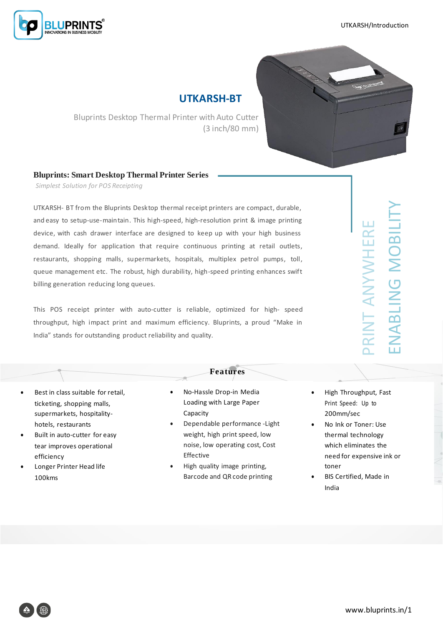



## **UTKARSH-BT**

Bluprints Desktop Thermal Printer with Auto Cutter (3 inch/80 mm)

## **Bluprints: Smart Desktop Thermal Printer Series**

*Simplest Solution for POS Receipting*

UTKARSH- BT from the Bluprints Desktop thermal receipt printers are compact, durable, and easy to setup-use-maintain. This high-speed, high-resolution print & image printing device, with cash drawer interface are designed to keep up with your high business demand. Ideally for application that require continuous printing at retail outlets, restaurants, shopping malls, supermarkets, hospitals, multiplex petrol pumps, toll, queue management etc. The robust, high durability, high-speed printing enhances swift billing generation reducing long queues.

This POS receipt printer with auto-cutter is reliable, optimized for high- speed throughput, high impact print and maximum efficiency. Bluprints, a proud "Make in India" stands for outstanding product reliability and quality.

## **Features**

- Best in class suitable for retail, ticketing, shopping malls, supermarkets, hospitalityhotels, restaurants
- Built in auto-cutter for easy tear improves operational efficiency
- Longer Printer Head life 100kms
- No-Hassle Drop-in Media Loading with Large Paper Capacity
- Dependable performance -Light weight, high print speed, low noise, low operating cost, Cost Effective
- High quality image printing, Barcode and QR code printing
- High Throughput, Fast Print Speed: Up to 200mm/sec

PRINT ANYWHERE

RINT ANYWHERE

ENABLING MOBILITY

NABLING MOBILI

- No Ink or Toner: Use thermal technology which eliminates the need for expensive ink or toner
- BIS Certified, Made in India